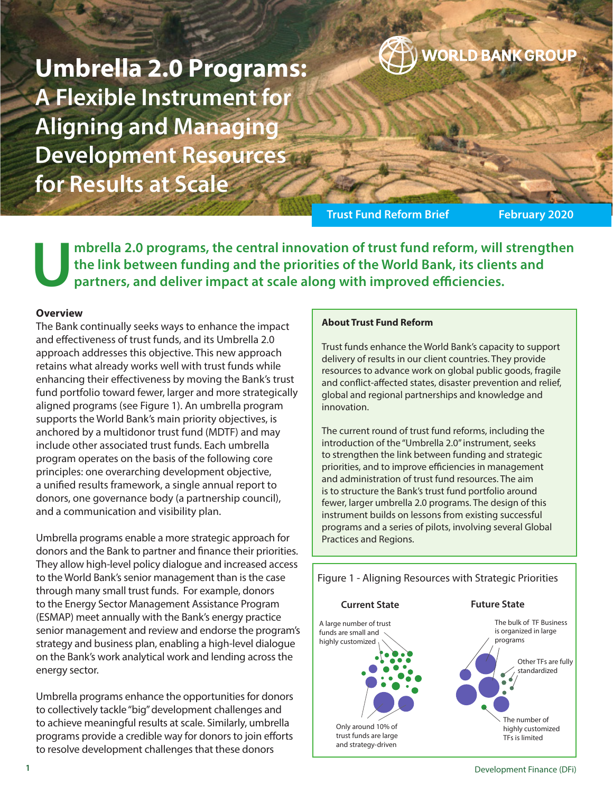**Umbrella 2.0 Programs: A Flexible Instrument for Aligning and Managing Development Resources for Results at Scale**

**Trust Fund Reform Brief February 2020** 

**WORLD BANK GROUP** 

**Umbrella 2.0 programs, the central innovation of trust fund reform, will strengthen the link between funding and the priorities of the World Bank, its clients and partners, and deliver impact at scale along with improved efficiencies.**

#### **Overview**

The Bank continually seeks ways to enhance the impact and effectiveness of trust funds, and its Umbrella 2.0 approach addresses this objective. This new approach retains what already works well with trust funds while enhancing their effectiveness by moving the Bank's trust fund portfolio toward fewer, larger and more strategically aligned programs (see Figure 1). An umbrella program supports the World Bank's main priority objectives, is anchored by a multidonor trust fund (MDTF) and may include other associated trust funds. Each umbrella program operates on the basis of the following core principles: one overarching development objective, a unified results framework, a single annual report to donors, one governance body (a partnership council), and a communication and visibility plan.

Umbrella programs enable a more strategic approach for donors and the Bank to partner and finance their priorities. They allow high-level policy dialogue and increased access to the World Bank's senior management than is the case through many small trust funds. For example, donors to the Energy Sector Management Assistance Program (ESMAP) meet annually with the Bank's energy practice senior management and review and endorse the program's strategy and business plan, enabling a high-level dialogue on the Bank's work analytical work and lending across the energy sector.

Umbrella programs enhance the opportunities for donors to collectively tackle "big" development challenges and to achieve meaningful results at scale. Similarly, umbrella programs provide a credible way for donors to join efforts to resolve development challenges that these donors

#### **About Trust Fund Reform**

Trust funds enhance the World Bank's capacity to support delivery of results in our client countries. They provide resources to advance work on global public goods, fragile and conflict-affected states, disaster prevention and relief, global and regional partnerships and knowledge and innovation.

The current round of trust fund reforms, including the introduction of the "Umbrella 2.0" instrument, seeks to strengthen the link between funding and strategic priorities, and to improve efficiencies in management and administration of trust fund resources. The aim is to structure the Bank's trust fund portfolio around fewer, larger umbrella 2.0 programs. The design of this instrument builds on lessons from existing successful programs and a series of pilots, involving several Global Practices and Regions.

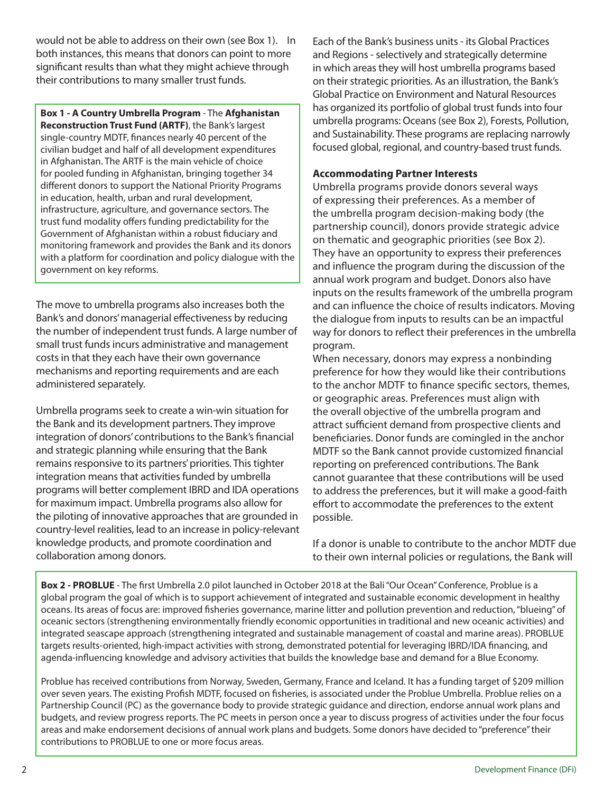would not be able to address on their own (see Box 1). In both instances, this means that donors can point to more significant results than what they might achieve through their contributions to many smaller trust funds.

**Box 1 - A Country Umbrella Program** - The **Afghanistan Reconstruction Trust Fund (ARTF)**, the Bank's largest single-country MDTF, finances nearly 40 percent of the civilian budget and half of all development expenditures in Afghanistan. The ARTF is the main vehicle of choice for pooled funding in Afghanistan, bringing together 34 different donors to support the National Priority Programs in education, health, urban and rural development, infrastructure, agriculture, and governance sectors. The trust fund modality offers funding predictability for the Government of Afghanistan within a robust fiduciary and monitoring framework and provides the Bank and its donors with a platform for coordination and policy dialogue with the government on key reforms.

The move to umbrella programs also increases both the Bank's and donors' managerial effectiveness by reducing the number of independent trust funds. A large number of small trust funds incurs administrative and management costs in that they each have their own governance mechanisms and reporting requirements and are each administered separately.

Umbrella programs seek to create a win-win situation for the Bank and its development partners. They improve integration of donors' contributions to the Bank's financial and strategic planning while ensuring that the Bank remains responsive to its partners' priorities. This tighter integration means that activities funded by umbrella programs will better complement IBRD and IDA operations for maximum impact. Umbrella programs also allow for the piloting of innovative approaches that are grounded in country-level realities, lead to an increase in policy-relevant knowledge products, and promote coordination and collaboration among donors.

Each of the Bank's business units - its Global Practices and Regions - selectively and strategically determine in which areas they will host umbrella programs based on their strategic priorities. As an illustration, the Bank's Global Practice on Environment and Natural Resources has organized its portfolio of global trust funds into four umbrella programs: Oceans (see Box 2), Forests, Pollution, and Sustainability. These programs are replacing narrowly focused global, regional, and country-based trust funds.

# **Accommodating Partner Interests**

Umbrella programs provide donors several ways of expressing their preferences. As a member of the umbrella program decision-making body (the partnership council), donors provide strategic advice on thematic and geographic priorities (see Box 2). They have an opportunity to express their preferences and influence the program during the discussion of the annual work program and budget. Donors also have inputs on the results framework of the umbrella program and can influence the choice of results indicators. Moving the dialogue from inputs to results can be an impactful way for donors to reflect their preferences in the umbrella program.

When necessary, donors may express a nonbinding preference for how they would like their contributions to the anchor MDTF to finance specific sectors, themes, or geographic areas. Preferences must align with the overall objective of the umbrella program and attract sufficient demand from prospective clients and beneficiaries. Donor funds are comingled in the anchor MDTF so the Bank cannot provide customized financial reporting on preferenced contributions. The Bank cannot guarantee that these contributions will be used to address the preferences, but it will make a good-faith effort to accommodate the preferences to the extent possible.

If a donor is unable to contribute to the anchor MDTF due to their own internal policies or regulations, the Bank will

**Box 2 - PROBLUE** - The first Umbrella 2.0 pilot launched in October 2018 at the Bali "Our Ocean" Conference, Problue is a global program the goal of which is to support achievement of integrated and sustainable economic development in healthy oceans. Its areas of focus are: improved fisheries governance, marine litter and pollution prevention and reduction, "blueing" of oceanic sectors (strengthening environmentally friendly economic opportunities in traditional and new oceanic activities) and integrated seascape approach (strengthening integrated and sustainable management of coastal and marine areas). PROBLUE targets results-oriented, high-impact activities with strong, demonstrated potential for leveraging IBRD/IDA financing, and agenda-influencing knowledge and advisory activities that builds the knowledge base and demand for a Blue Economy.

Problue has received contributions from Norway, Sweden, Germany, France and Iceland. It has a funding target of \$209 million over seven years. The existing Profish MDTF, focused on fisheries, is associated under the Problue Umbrella. Problue relies on a Partnership Council (PC) as the governance body to provide strategic guidance and direction, endorse annual work plans and budgets, and review progress reports. The PC meets in person once a year to discuss progress of activities under the four focus areas and make endorsement decisions of annual work plans and budgets. Some donors have decided to "preference" their contributions to PROBLUE to one or more focus areas.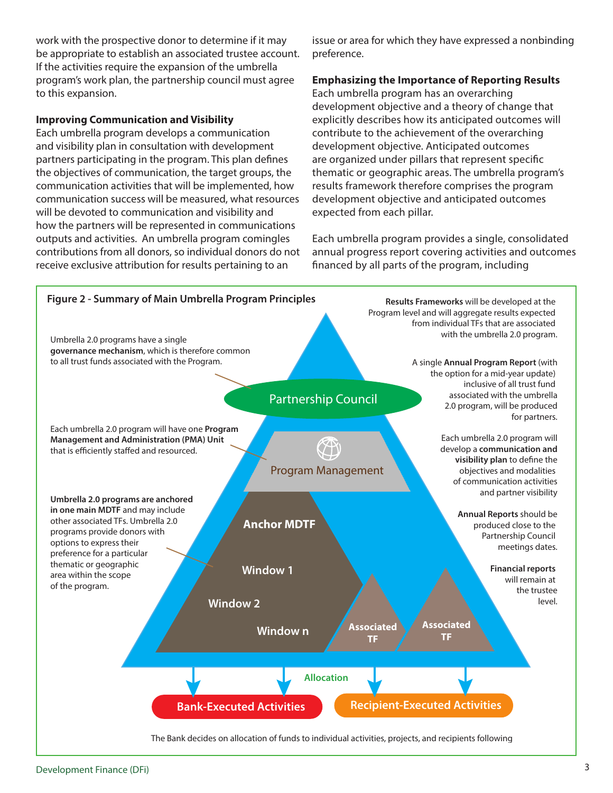work with the prospective donor to determine if it may be appropriate to establish an associated trustee account. If the activities require the expansion of the umbrella program's work plan, the partnership council must agree to this expansion.

#### **Improving Communication and Visibility**

Each umbrella program develops a communication and visibility plan in consultation with development partners participating in the program. This plan defines the objectives of communication, the target groups, the communication activities that will be implemented, how communication success will be measured, what resources will be devoted to communication and visibility and how the partners will be represented in communications outputs and activities. An umbrella program comingles contributions from all donors, so individual donors do not receive exclusive attribution for results pertaining to an

issue or area for which they have expressed a nonbinding preference.

## **Emphasizing the Importance of Reporting Results**

Each umbrella program has an overarching development objective and a theory of change that explicitly describes how its anticipated outcomes will contribute to the achievement of the overarching development objective. Anticipated outcomes are organized under pillars that represent specific thematic or geographic areas. The umbrella program's results framework therefore comprises the program development objective and anticipated outcomes expected from each pillar.

Each umbrella program provides a single, consolidated annual progress report covering activities and outcomes financed by all parts of the program, including